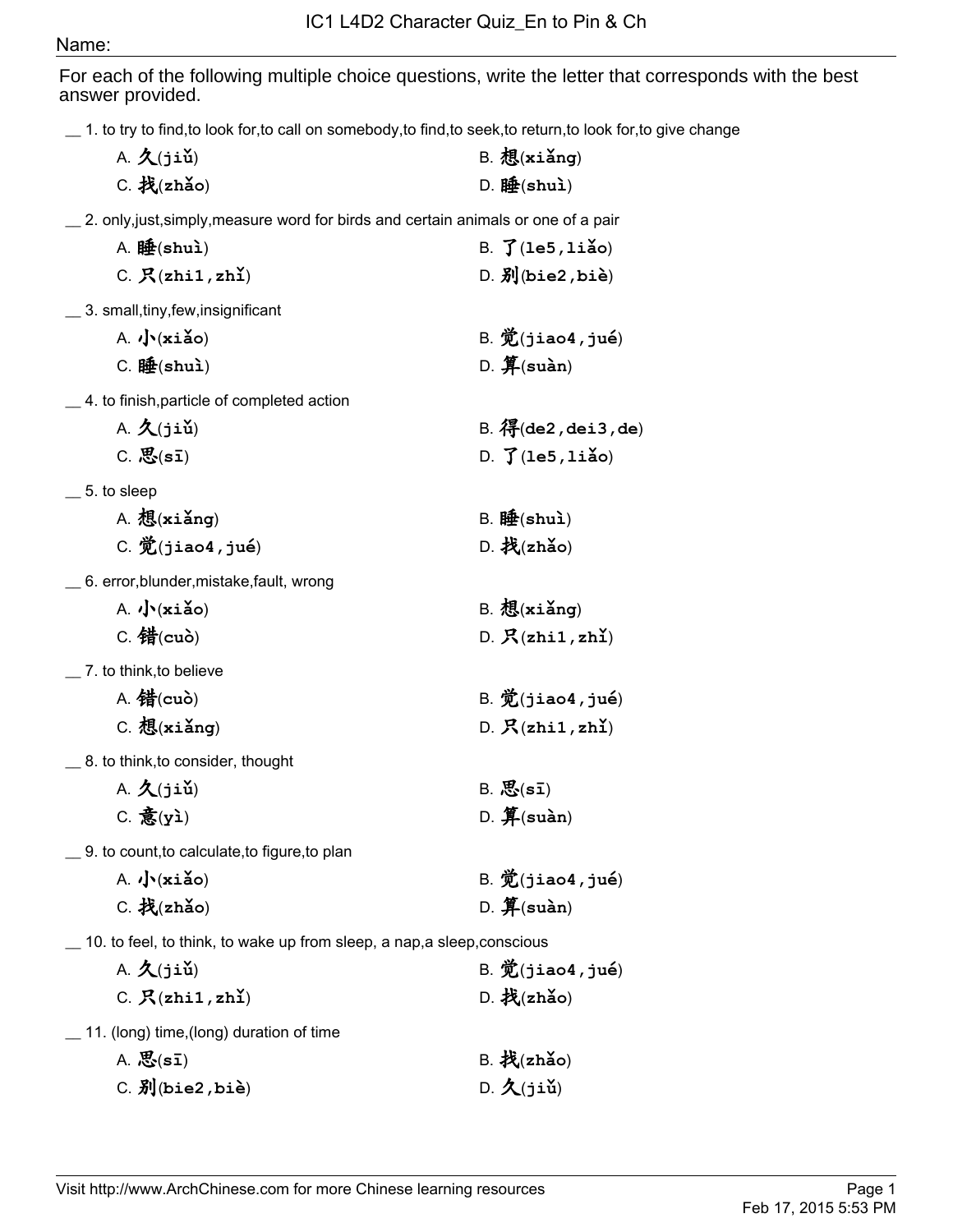## Name:

For each of the following multiple choice questions, write the letter that corresponds with the best answer provided.

\_\_ 1. to try to find,to look for,to call on somebody,to find,to seek,to return,to look for,to give change

| $\_$ 1. to try to find,to look for,to call on somebody,to find,to seek,to return,to look for,t |                                            |
|------------------------------------------------------------------------------------------------|--------------------------------------------|
| $A. \nvert A(jii)$                                                                             | $B.$ 想 $(xi\Delta ng)$                     |
| $C.$ 找 $(zh$ ǎo)                                                                               | $D. \nleftrightarrow$ (shuì)               |
| _ 2. only,just,simply,measure word for birds and certain animals or one of a pair              |                                            |
| A. 睡 $(\text{shu})$                                                                            | B. $\mathfrak{J}$ (le5, liǎo)              |
| C. $R(zhi1, zh1)$                                                                              | $D. \overline{3}$ (bie2, bie)              |
| _ 3. small,tiny,few,insignificant                                                              |                                            |
| A. $\sqrt{\cdot}$ (xiǎo)                                                                       | $B.$ $\mathcal{D}(j$ iao4, $j$ ué)         |
| $C. $ 睡 $(shu)$                                                                                | $D.$ $\mathbf{\hat{F}}$ (suàn)             |
| _4. to finish,particle of completed action                                                     |                                            |
| $A. \nvert A(jii)$                                                                             | $B.$ $R$ $($ de2, dei3, de)                |
| $C.$ $\mathcal{B}(s\bar{1})$                                                                   | D. $\int$ (le5, liǎo)                      |
| $\_$ 5. to sleep                                                                               |                                            |
| $A.$ 想 $(x$ iǎng)                                                                              | B. 12 (shu)                                |
| $C.$ $\mathcal{D}(j$ iao4, jué)                                                                | $D.$ 找 $(zh$ ǎo)                           |
| $\_$ 6. error,blunder,mistake,fault, wrong                                                     |                                            |
| $A.$ $\sqrt{\cdot}$ (xiǎo)                                                                     | $B.$ 想 $(x$ iǎng)                          |
| $C.$ 错 $(cub)$                                                                                 | D. R(zhi1, zh1)                            |
| $\_$ 7. to think,to believe                                                                    |                                            |
| A. 错 $(cub)$                                                                                   | $B.$ $\mathcal{D}(j$ iao4, jué)            |
| $C.$ 想 $(x$ iǎng)                                                                              | D. $R(zhi1, zh1)$                          |
| _ 8. to think,to consider, thought                                                             |                                            |
| $A. \nvert A(jii)$                                                                             | $B. \n{\mathcal{B}}(\mathbf{s}\mathbf{I})$ |
| $C.$ 意(yì)                                                                                     | $D.$ $\hat{J}$ (suàn)                      |
| _9. to count,to calculate,to figure,to plan                                                    |                                            |
| $A.$ $\sqrt{\cdot}$ (xiǎo)                                                                     | $B.$ $\mathcal{D}(j$ iao4, jué)            |
| $C.$ 找(zhǎo)                                                                                   | D. $\mathbf{\hat{F}}$ (suàn)               |
|                                                                                                |                                            |

\_\_ 10. to feel, to think, to wake up from sleep, a nap,a sleep,conscious

| $A. \nightharpoonup (jii)$                      | $B.$ $\mathcal{D}(j$ iao4, $j$ ué)                   |
|-------------------------------------------------|------------------------------------------------------|
| C. R(zhi1, zh1)                                 | $D.$ 找(zhǎo)                                         |
| $\_\_$ 11. (long) time, (long) duration of time |                                                      |
| $A. \n{\mathcal{B}}(\mathbf{s}\mathbf{I})$      | $B.$ 找(zhǎo)                                         |
| $C. \nexists J(bie2,bi\`e)$                     | $D. \nvert \mathbf{\hat{X}}(j \in \mathbf{\hat{u}})$ |